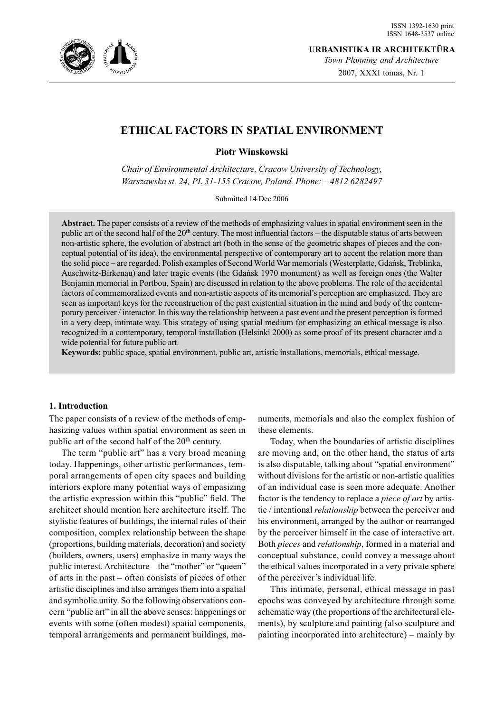

**URBANISTIKA IR ARCHITEKTŪRA** *Town Planning and Architecture* 2007, XXXI tomas, Nr. 1

# **ETHICAL FACTORS IN SPATIAL ENVIRONMENT**

**Piotr Winskowski**

*Chair of Environmental Architecture, Cracow University of Technology, Warszawska st. 24, PL 31-155 Cracow, Poland. Phone: +4812 6282497*

Submitted 14 Dec 2006

**Abstract.** The paper consists of a review of the methods of emphasizing values in spatial environment seen in the public art of the second half of the 20<sup>th</sup> century. The most influential factors – the disputable status of arts between non-artistic sphere, the evolution of abstract art (both in the sense of the geometric shapes of pieces and the conceptual potential of its idea), the environmental perspective of contemporary art to accent the relation more than the solid piece – are regarded. Polish examples of Second World War memorials (Westerplatte, Gdańsk, Treblinka, Auschwitz-Birkenau) and later tragic events (the Gdańsk 1970 monument) as well as foreign ones (the Walter Benjamin memorial in Portbou, Spain) are discussed in relation to the above problems. The role of the accidental factors of commemoralized events and non-artistic aspects of its memorial's perception are emphasized. They are seen as important keys for the reconstruction of the past existential situation in the mind and body of the contemporary perceiver / interactor. In this way the relationship between a past event and the present perception is formed in a very deep, intimate way. This strategy of using spatial medium for emphasizing an ethical message is also recognized in a contemporary, temporal installation (Helsinki 2000) as some proof of its present character and a wide potential for future public art.

**Keywords:** public space, spatial environment, public art, artistic installations, memorials, ethical message.

### **1. Introduction**

The paper consists of a review of the methods of emphasizing values within spatial environment as seen in public art of the second half of the 20<sup>th</sup> century.

The term "public art" has a very broad meaning today. Happenings, other artistic performances, temporal arrangements of open city spaces and building interiors explore many potential ways of empasizing the artistic expression within this "public" field. The architect should mention here architecture itself. The stylistic features of buildings, the internal rules of their composition, complex relationship between the shape (proportions, building materials, decoration) and society (builders, owners, users) emphasize in many ways the public interest. Architecture – the "mother" or "queen" of arts in the past – often consists of pieces of other artistic disciplines and also arranges them into a spatial and symbolic unity. So the following observations concern "public art" in all the above senses: happenings or events with some (often modest) spatial components, temporal arrangements and permanent buildings, monuments, memorials and also the complex fushion of these elements.

Today, when the boundaries of artistic disciplines are moving and, on the other hand, the status of arts is also disputable, talking about "spatial environment" without divisions for the artistic or non-artistic qualities of an individual case is seen more adequate. Another factor is the tendency to replace a *piece of art* by artistic / intentional *relationship* between the perceiver and his environment, arranged by the author or rearranged by the perceiver himself in the case of interactive art. Both *pieces* and *relationship*, formed in a material and conceptual substance, could convey a message about the ethical values incorporated in a very private sphere of the perceiver's individual life.

This intimate, personal, ethical message in past epochs was conveyed by architecture through some schematic way (the proportions of the architectural elements), by sculpture and painting (also sculpture and painting incorporated into architecture) – mainly by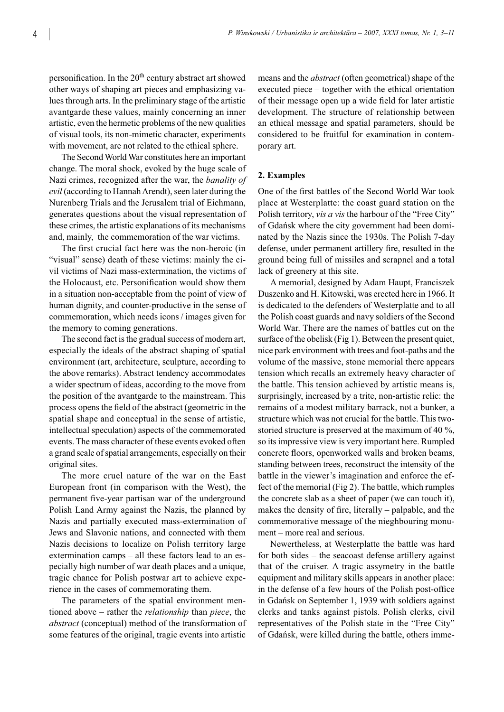personification. In the 20<sup>th</sup> century abstract art showed other ways of shaping art pieces and emphasizing values through arts. In the preliminary stage of the artistic avantgarde these values, mainly concerning an inner artistic, even the hermetic problems of the new qualities of visual tools, its non-mimetic character, experiments with movement, are not related to the ethical sphere.

The Second World War constitutes here an important change. The moral shock, evoked by the huge scale of Nazi crimes, recognized after the war, the *banality of evil* (according to Hannah Arendt), seen later during the Nurenberg Trials and the Jerusalem trial of Eichmann, generates questions about the visual representation of these crimes, the artistic explanations of its mechanisms and, mainly, the commemoration of the war victims.

The first crucial fact here was the non-heroic (in "visual" sense) death of these victims: mainly the civil victims of Nazi mass-extermination, the victims of the Holocaust, etc. Personification would show them in a situation non-acceptable from the point of view of human dignity, and counter-productive in the sense of commemoration, which needs icons / images given for the memory to coming generations.

The second fact is the gradual success of modern art, especially the ideals of the abstract shaping of spatial environment (art, architecture, sculpture, according to the above remarks). Abstract tendency accommodates a wider spectrum of ideas, according to the move from the position of the avantgarde to the mainstream. This process opens the field of the abstract (geometric in the spatial shape and conceptual in the sense of artistic, intellectual speculation) aspects of the commemorated events. The mass character of these events evoked often a grand scale of spatial arrangements, especially on their original sites.

The more cruel nature of the war on the East European front (in comparison with the West), the permanent five-year partisan war of the underground Polish Land Army against the Nazis, the planned by Nazis and partially executed mass-extermination of Jews and Slavonic nations, and connected with them Nazis decisions to localize on Polish territory large extermination camps – all these factors lead to an especially high number of war death places and a unique, tragic chance for Polish postwar art to achieve experience in the cases of commemorating them.

The parameters of the spatial environment mentioned above – rather the *relationship* than *piece*, the *abstract* (conceptual) method of the transformation of some features of the original, tragic events into artistic

means and the *abstract* (often geometrical) shape of the executed piece – together with the ethical orientation of their message open up a wide field for later artistic development. The structure of relationship between an ethical message and spatial parameters, should be considered to be fruitful for examination in contemporary art.

### **2. Examples**

One of the first battles of the Second World War took place at Westerplatte: the coast guard station on the Polish territory, *vis a vis* the harbour of the "Free City" of Gdańsk where the city government had been dominated by the Nazis since the 1930s. The Polish 7-day defense, under permanent artillery fire, resulted in the ground being full of missiles and scrapnel and a total lack of greenery at this site.

A memorial, designed by Adam Haupt, Franciszek Duszenko and H. Kitowski, was erected here in 1966. It is dedicated to the defenders of Westerplatte and to all the Polish coast guards and navy soldiers of the Second World War. There are the names of battles cut on the surface of the obelisk (Fig 1). Between the present quiet, nice park environment with trees and foot-paths and the volume of the massive, stone memorial there appears tension which recalls an extremely heavy character of the battle. This tension achieved by artistic means is, surprisingly, increased by a trite, non-artistic relic: the remains of a modest military barrack, not a bunker, a structure which was not crucial for the battle. This twostoried structure is preserved at the maximum of 40 %, so its impressive view is very important here. Rumpled concrete floors, openworked walls and broken beams, standing between trees, reconstruct the intensity of the battle in the viewer's imagination and enforce the effect of the memorial (Fig 2). The battle, which rumples the concrete slab as a sheet of paper (we can touch it), makes the density of fire, literally – palpable, and the commemorative message of the nieghbouring monument – more real and serious.

Newertheless, at Westerplatte the battle was hard for both sides – the seacoast defense artillery against that of the cruiser. A tragic assymetry in the battle equipment and military skills appears in another place: in the defense of a few hours of the Polish post-office in Gdańsk on September 1, 1939 with soldiers against clerks and tanks against pistols. Polish clerks, civil representatives of the Polish state in the "Free City" of Gdańsk, were killed during the battle, others imme-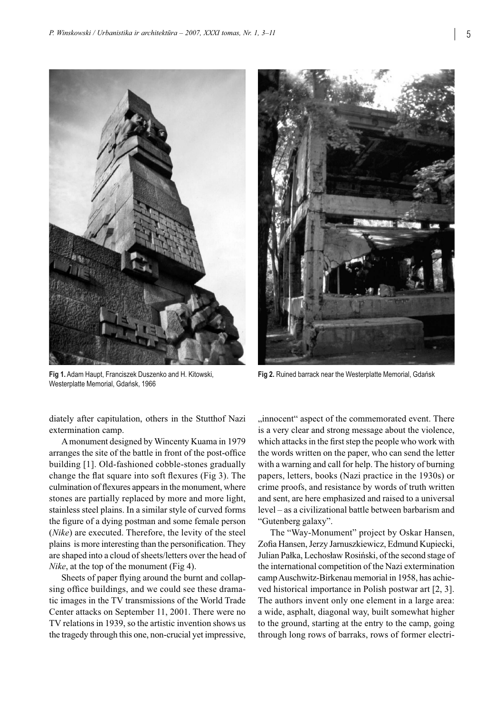

**Fig 1.** Adam Haupt, Franciszek Duszenko and H. Kitowski, Westerplatte Memorial, Gdańsk, 1966

**Fig 2.** Ruined barrack near the Westerplatte Memorial, Gdańsk

diately after capitulation, others in the Stutthof Nazi extermination camp.

A monument designed by Wincenty Kuama in 1979 arranges the site of the battle in front of the post-office building [1]. Old-fashioned cobble-stones gradually change the flat square into soft flexures (Fig 3). The culmination of flexures appears in the monument, where stones are partially replaced by more and more light, stainless steel plains. In a similar style of curved forms the figure of a dying postman and some female person (*Nike*) are executed. Therefore, the levity of the steel plains is more interesting than the personification. They are shaped into a cloud of sheets/letters over the head of *Nike*, at the top of the monument (Fig 4).

Sheets of paper flying around the burnt and collapsing office buildings, and we could see these dramatic images in the TV transmissions of the World Trade Center attacks on September 11, 2001. There were no TV relations in 1939, so the artistic invention shows us the tragedy through this one, non-crucial yet impressive,

"innocent" aspect of the commemorated event. There is a very clear and strong message about the violence, which attacks in the first step the people who work with the words written on the paper, who can send the letter with a warning and call for help. The history of burning papers, letters, books (Nazi practice in the 1930s) or crime proofs, and resistance by words of truth written and sent, are here emphasized and raised to a universal level – as a civilizational battle between barbarism and "Gutenberg galaxy".

The "Way-Monument" project by Oskar Hansen, Zofia Hansen, Jerzy Jarnuszkiewicz, Edmund Kupiecki, Julian Pałka, Lechosław Rosiński, of the second stage of the international competition of the Nazi extermination camp Auschwitz-Birkenau memorial in 1958, has achieved historical importance in Polish postwar art [2, 3]. The authors invent only one element in a large area: a wide, asphalt, diagonal way, built somewhat higher to the ground, starting at the entry to the camp, going through long rows of barraks, rows of former electri-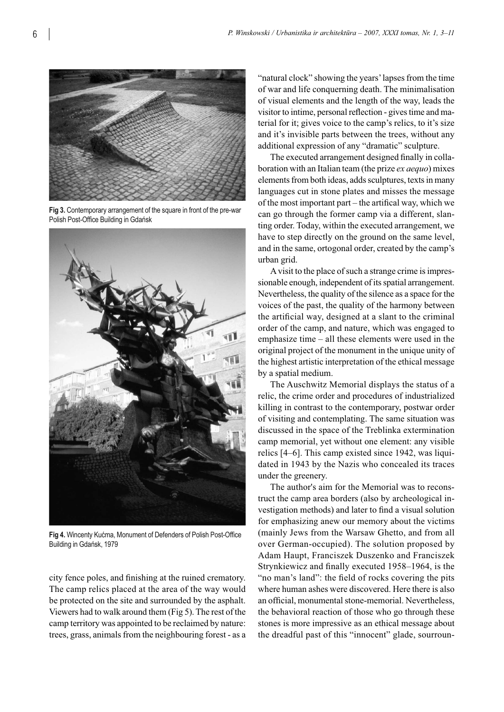

**Fig 3.** Contemporary arrangement of the square in front of the pre-war Polish Post-Office Building in Gdańsk



**Fig 4.** Wincenty Kućma, Monument of Defenders of Polish Post-Office Building in Gdańsk, 1979

city fence poles, and finishing at the ruined crematory. The camp relics placed at the area of the way would be protected on the site and surrounded by the asphalt. Viewers had to walk around them (Fig 5). The rest of the camp territory was appointed to be reclaimed by nature: trees, grass, animals from the neighbouring forest - as a "natural clock" showing the years' lapses from the time of war and life conquerning death. The minimalisation of visual elements and the length of the way, leads the visitor to intime, personal reflection - gives time and material for it; gives voice to the camp's relics, to it's size and it's invisible parts between the trees, without any additional expression of any "dramatic" sculpture.

The executed arrangement designed finally in collaboration with an Italian team (the prize *ex aequo*) mixes elements from both ideas, adds sculptures, texts in many languages cut in stone plates and misses the message of the most important part – the artifical way, which we can go through the former camp via a different, slanting order. Today, within the executed arrangement, we have to step directly on the ground on the same level, and in the same, ortogonal order, created by the camp's urban grid.

A visit to the place of such a strange crime is impressionable enough, independent of its spatial arrangement. Nevertheless, the quality of the silence as a space for the voices of the past, the quality of the harmony between the artificial way, designed at a slant to the criminal order of the camp, and nature, which was engaged to emphasize time – all these elements were used in the original project of the monument in the unique unity of the highest artistic interpretation of the ethical message by a spatial medium.

The Auschwitz Memorial displays the status of a relic, the crime order and procedures of industrialized killing in contrast to the contemporary, postwar order of visiting and contemplating. The same situation was discussed in the space of the Treblinka extermination camp memorial, yet without one element: any visible relics [4–6]. This camp existed since 1942, was liquidated in 1943 by the Nazis who concealed its traces under the greenery.

The author's aim for the Memorial was to reconstruct the camp area borders (also by archeological investigation methods) and later to find a visual solution for emphasizing anew our memory about the victims (mainly Jews from the Warsaw Ghetto, and from all over German-occupied). The solution proposed by Adam Haupt, Franciszek Duszenko and Franciszek Strynkiewicz and finally executed 1958–1964, is the "no man's land": the field of rocks covering the pits where human ashes were discovered. Here there is also an official, monumental stone-memorial. Nevertheless, the behavioral reaction of those who go through these stones is more impressive as an ethical message about the dreadful past of this "innocent" glade, sourroun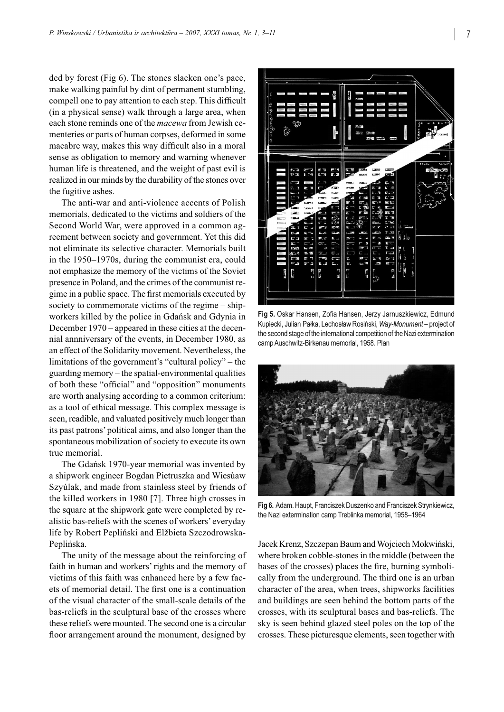ded by forest (Fig 6). The stones slacken one's pace, make walking painful by dint of permanent stumbling, compell one to pay attention to each step. This difficult (in a physical sense) walk through a large area, when each stone reminds one of the *macewa* from Jewish cementeries or parts of human corpses, deformed in some macabre way, makes this way difficult also in a moral sense as obligation to memory and warning whenever human life is threatened, and the weight of past evil is realized in our minds by the durability of the stones over the fugitive ashes.

The anti-war and anti-violence accents of Polish memorials, dedicated to the victims and soldiers of the Second World War, were approved in a common agreement between society and government. Yet this did not eliminate its selective character. Memorials built in the 1950–1970s, during the communist era, could not emphasize the memory of the victims of the Soviet presence in Poland, and the crimes of the communist regime in a public space. The first memorials executed by society to commemorate victims of the regime – shipworkers killed by the police in Gdańsk and Gdynia in December 1970 – appeared in these cities at the decennial annniversary of the events, in December 1980, as an effect of the Solidarity movement. Nevertheless, the limitations of the government's "cultural policy" – the guarding memory – the spatial-environmental qualities of both these "official" and "opposition" monuments are worth analysing according to a common criterium: as a tool of ethical message. This complex message is seen, readible, and valuated positively much longer than its past patrons' political aims, and also longer than the spontaneous mobilization of society to execute its own true memorial.

The Gdańsk 1970-year memorial was invented by a shipwork engineer Bogdan Pietruszka and Wiesùaw Szyúlak, and made from stainless steel by friends of the killed workers in 1980 [7]. Three high crosses in the square at the shipwork gate were completed by realistic bas-reliefs with the scenes of workers' everyday life by Robert Pepliński and Elžbieta Szczodrowska-Peplińska.

The unity of the message about the reinforcing of faith in human and workers' rights and the memory of victims of this faith was enhanced here by a few facets of memorial detail. The first one is a continuation of the visual character of the small-scale details of the bas-reliefs in the sculptural base of the crosses where these reliefs were mounted. The second one is a circular floor arrangement around the monument, designed by



**Fig 5.** Oskar Hansen, Zofia Hansen, Jerzy Jarnuszkiewicz, Edmund Kupiecki, Julian Pałka, Lechosław Rosiński, *Way-Monument* – project of the second stage of the international competition of the Nazi extermination camp Auschwitz-Birkenau memorial, 1958. Plan



**Fig 6.** Adam. Haupt, Franciszek Duszenko and Franciszek Strynkiewicz, the Nazi extermination camp Treblinka memorial, 1958–1964

Jacek Krenz, Szczepan Baum and Wojciech Mokwiński, where broken cobble-stones in the middle (between the bases of the crosses) places the fire, burning symbolically from the underground. The third one is an urban character of the area, when trees, shipworks facilities and buildings are seen behind the bottom parts of the crosses, with its sculptural bases and bas-reliefs. The sky is seen behind glazed steel poles on the top of the crosses. These picturesque elements, seen together with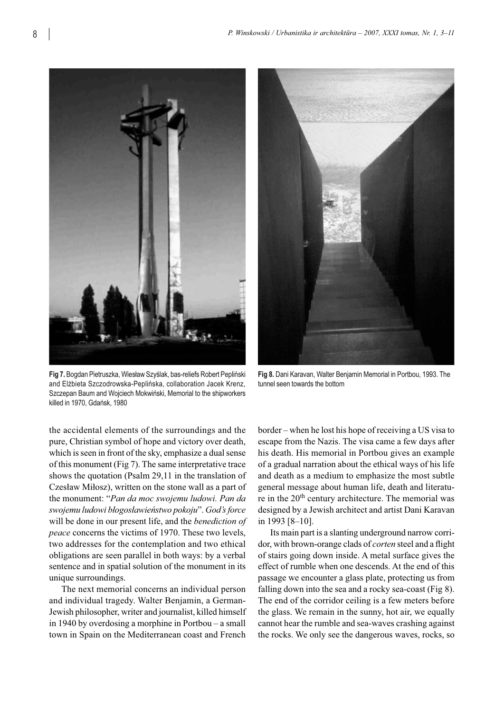

**Fig 7.** Bogdan Pietruszka, Wiesław Szyślak, bas-reliefs Robert Pepliński and Elżbieta Szczodrowska-Peplińska, collaboration Jacek Krenz, Szczepan Baum and Wojciech Mokwiński, Memorial to the shipworkers killed in 1970, Gdańsk, 1980

the accidental elements of the surroundings and the pure, Christian symbol of hope and victory over death, which is seen in front of the sky, emphasize a dual sense of this monument (Fig 7). The same interpretative trace shows the quotation (Psalm 29,11 in the translation of Czesław Miłosz), written on the stone wall as a part of the monument: "*Pan da moc swojemu ludowi. Pan da swojemu ludowi błogosławieństwo pokoju*". *God's force* will be done in our present life, and the *benediction of peace* concerns the victims of 1970. These two levels, two addresses for the contemplation and two ethical obligations are seen parallel in both ways: by a verbal sentence and in spatial solution of the monument in its unique surroundings.

The next memorial concerns an individual person and individual tragedy. Walter Benjamin, a German-Jewish philosopher, writer and journalist, killed himself in 1940 by overdosing a morphine in Portbou – a small town in Spain on the Mediterranean coast and French



**Fig 8.** Dani Karavan, Walter Benjamin Memorial in Portbou, 1993. The tunnel seen towards the bottom

border – when he lost his hope of receiving a US visa to escape from the Nazis. The visa came a few days after his death. His memorial in Portbou gives an example of a gradual narration about the ethical ways of his life and death as a medium to emphasize the most subtle general message about human life, death and literature in the 20<sup>th</sup> century architecture. The memorial was designed by a Jewish architect and artist Dani Karavan in 1993 [8–10].

Its main part is a slanting underground narrow corridor, with brown-orange clads of *corten* steel and a flight of stairs going down inside. A metal surface gives the effect of rumble when one descends. At the end of this passage we encounter a glass plate, protecting us from falling down into the sea and a rocky sea-coast (Fig 8). The end of the corridor ceiling is a few meters before the glass. We remain in the sunny, hot air, we equally cannot hear the rumble and sea-waves crashing against the rocks. We only see the dangerous waves, rocks, so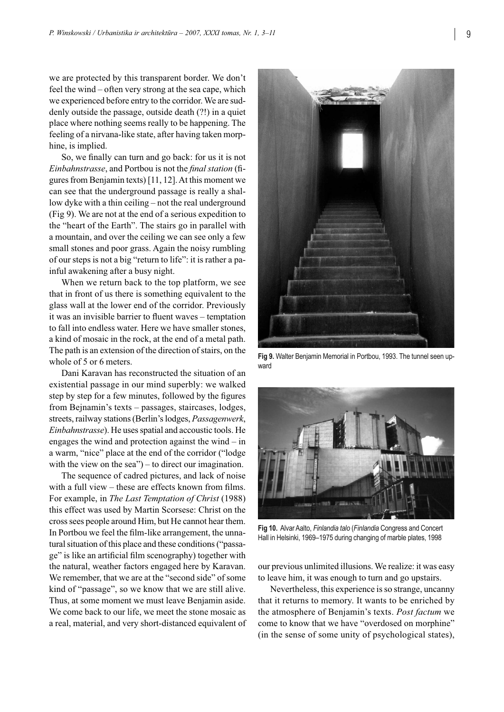we are protected by this transparent border. We don't feel the wind – often very strong at the sea cape, which we experienced before entry to the corridor. We are suddenly outside the passage, outside death (?!) in a quiet place where nothing seems really to be happening. The feeling of a nirvana-like state, after having taken morphine, is implied.

So, we finally can turn and go back: for us it is not *Einbahnstrasse*, and Portbou is not the *final station* (figures from Benjamin texts) [11, 12]. At this moment we can see that the underground passage is really a shallow dyke with a thin ceiling – not the real underground (Fig 9). We are not at the end of a serious expedition to the "heart of the Earth". The stairs go in parallel with a mountain, and over the ceiling we can see only a few small stones and poor grass. Again the noisy rumbling of our steps is not a big "return to life": it is rather a painful awakening after a busy night.

When we return back to the top platform, we see that in front of us there is something equivalent to the glass wall at the lower end of the corridor. Previously it was an invisible barrier to fluent waves – temptation to fall into endless water. Here we have smaller stones, a kind of mosaic in the rock, at the end of a metal path. The path is an extension of the direction of stairs, on the whole of 5 or 6 meters.

Dani Karavan has reconstructed the situation of an existential passage in our mind superbly: we walked step by step for a few minutes, followed by the figures from Bejnamin's texts – passages, staircases, lodges, streets, railway stations (Berlin's lodges, *Passagenwerk*, *Einbahnstrasse*). He uses spatial and accoustic tools. He engages the wind and protection against the wind – in a warm, "nice" place at the end of the corridor ("lodge with the view on the sea") – to direct our imagination.

The sequence of cadred pictures, and lack of noise with a full view – these are effects known from films. For example, in *The Last Temptation of Christ* (1988) this effect was used by Martin Scorsese: Christ on the cross sees people around Him, but He cannot hear them. In Portbou we feel the film-like arrangement, the unnatural situation of this place and these conditions ("passage" is like an artificial film scenography) together with the natural, weather factors engaged here by Karavan. We remember, that we are at the "second side" of some kind of "passage", so we know that we are still alive. Thus, at some moment we must leave Benjamin aside. We come back to our life, we meet the stone mosaic as a real, material, and very short-distanced equivalent of



**Fig 9.** Walter Benjamin Memorial in Portbou, 1993. The tunnel seen upward



**Fig 10.** Alvar Aalto, *Finlandia talo* (*Finlandia* Congress and Concert Hall in Helsinki, 1969–1975 during changing of marble plates, 1998

our previous unlimited illusions. We realize: it was easy to leave him, it was enough to turn and go upstairs.

Nevertheless, this experience is so strange, uncanny that it returns to memory. It wants to be enriched by the atmosphere of Benjamin's texts. *Post factum* we come to know that we have "overdosed on morphine" (in the sense of some unity of psychological states),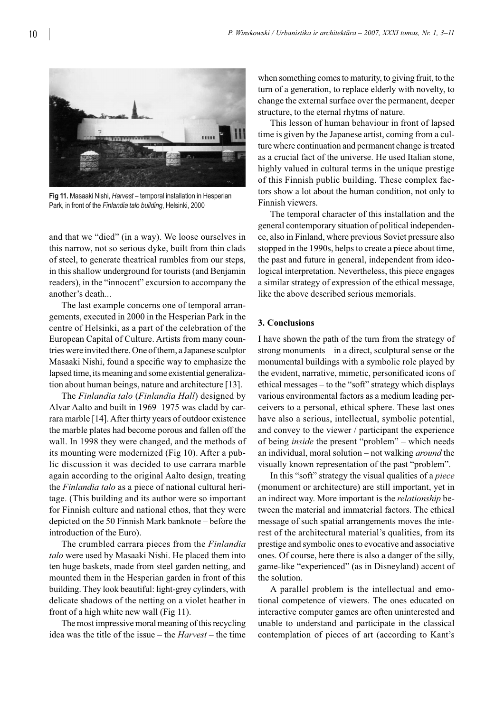

**Fig 11.** Masaaki Nishi, *Harvest* – temporal installation in Hesperian Park, in front of the *Finlandia talo building*, Helsinki, 2000

and that we "died" (in a way). We loose ourselves in this narrow, not so serious dyke, built from thin clads of steel, to generate theatrical rumbles from our steps, in this shallow underground for tourists (and Benjamin readers), in the "innocent" excursion to accompany the another's death...

The last example concerns one of temporal arrangements, executed in 2000 in the Hesperian Park in the centre of Helsinki, as a part of the celebration of the European Capital of Culture. Artists from many countries were invited there. One of them, a Japanese sculptor Masaaki Nishi, found a specific way to emphasize the lapsed time, its meaning and some existential generalization about human beings, nature and architecture [13].

The *Finlandia talo* (*Finlandia Hall*) designed by Alvar Aalto and built in 1969–1975 was cladd by carrara marble [14]. After thirty years of outdoor existence the marble plates had become porous and fallen off the wall. In 1998 they were changed, and the methods of its mounting were modernized (Fig 10). After a public discussion it was decided to use carrara marble again according to the original Aalto design, treating the *Finlandia talo* as a piece of national cultural heritage. (This building and its author were so important for Finnish culture and national ethos, that they were depicted on the 50 Finnish Mark banknote – before the introduction of the Euro).

The crumbled carrara pieces from the *Finlandia talo* were used by Masaaki Nishi. He placed them into ten huge baskets, made from steel garden netting, and mounted them in the Hesperian garden in front of this building. They look beautiful: light-grey cylinders, with delicate shadows of the netting on a violet heather in front of a high white new wall (Fig 11).

The most impressive moral meaning of this recycling idea was the title of the issue – the *Harvest* – the time when something comes to maturity, to giving fruit, to the turn of a generation, to replace elderly with novelty, to change the external surface over the permanent, deeper structure, to the eternal rhytms of nature.

This lesson of human behaviour in front of lapsed time is given by the Japanese artist, coming from a culture where continuation and permanent change is treated as a crucial fact of the universe. He used Italian stone, highly valued in cultural terms in the unique prestige of this Finnish public building. These complex factors show a lot about the human condition, not only to Finnish viewers.

The temporal character of this installation and the general contemporary situation of political independence, also in Finland, where previous Soviet pressure also stopped in the 1990s, helps to create a piece about time, the past and future in general, independent from ideological interpretation. Nevertheless, this piece engages a similar strategy of expression of the ethical message, like the above described serious memorials.

## **3. Conclusions**

I have shown the path of the turn from the strategy of strong monuments – in a direct, sculptural sense or the monumental buildings with a symbolic role played by the evident, narrative, mimetic, personificated icons of ethical messages – to the "soft" strategy which displays various environmental factors as a medium leading perceivers to a personal, ethical sphere. These last ones have also a serious, intellectual, symbolic potential, and convey to the viewer / participant the experience of being *inside* the present "problem" – which needs an individual, moral solution – not walking *around* the visually known representation of the past "problem".

In this "soft" strategy the visual qualities of a *piece* (monument or architecture) are still important, yet in an indirect way. More important is the *relationship* between the material and immaterial factors. The ethical message of such spatial arrangements moves the interest of the architectural material's qualities, from its prestige and symbolic ones to evocative and associative ones. Of course, here there is also a danger of the silly, game-like "experienced" (as in Disneyland) accent of the solution.

A parallel problem is the intellectual and emotional competence of viewers. The ones educated on interactive computer games are often uninterested and unable to understand and participate in the classical contemplation of pieces of art (according to Kant's